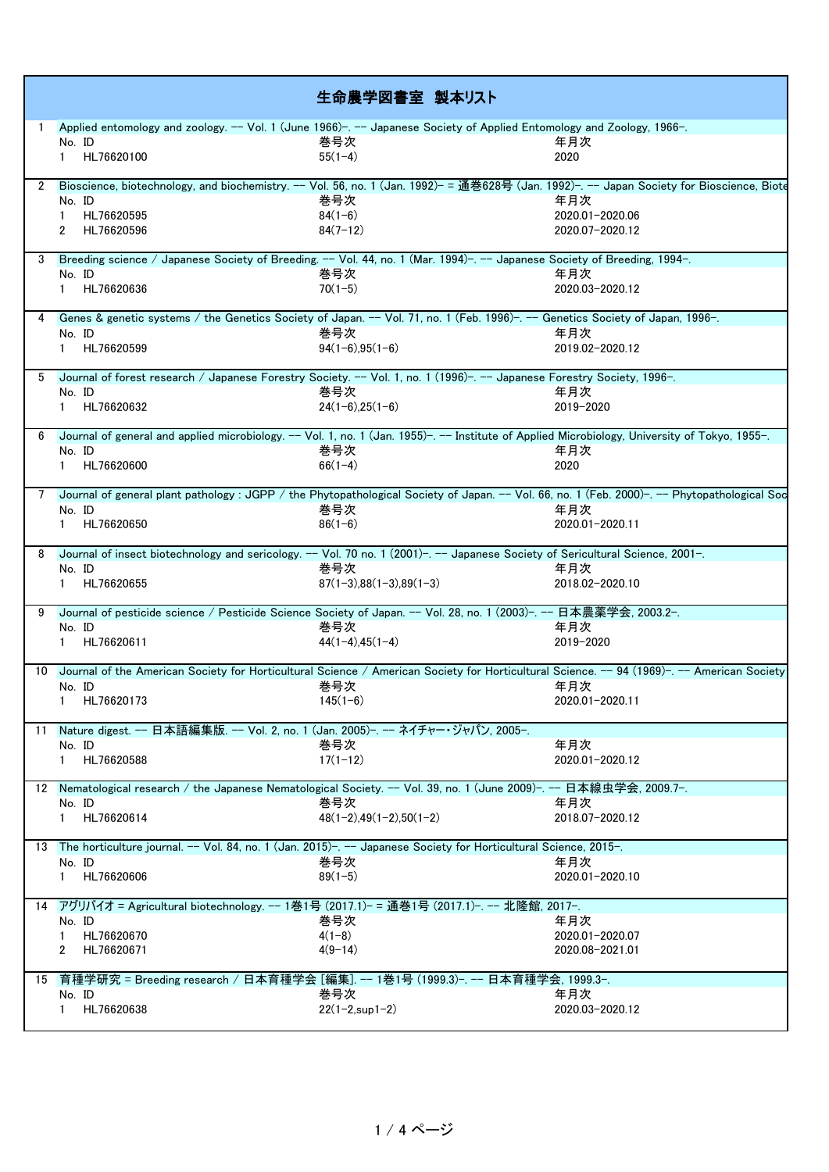|    |                                                                                                                                               | 生命農学図書室 製本リスト                |                  |
|----|-----------------------------------------------------------------------------------------------------------------------------------------------|------------------------------|------------------|
|    | Applied entomology and zoology. -- Vol. 1 (June 1966)-. -- Japanese Society of Applied Entomology and Zoology, 1966-.                         |                              |                  |
|    | No. ID                                                                                                                                        | 巻号次                          | 年月次              |
|    | HL76620100<br>$\mathbf{1}$                                                                                                                    | $55(1-4)$                    | 2020             |
|    | 2 Bioscience, biotechnology, and biochemistry. -- Vol. 56, no. 1 (Jan. 1992)- = 通巻628号 (Jan. 1992)-. -- Japan Society for Bioscience, Biote   |                              |                  |
|    | No. ID                                                                                                                                        | 巻号次                          | 年月次              |
|    | HL76620595                                                                                                                                    | $84(1-6)$                    | 2020.01-2020.06  |
|    | HL76620596<br>2                                                                                                                               | $84(7-12)$                   | 2020.07-2020.12  |
|    |                                                                                                                                               |                              |                  |
|    | 3 Breeding science / Japanese Society of Breeding. -- Vol. 44, no. 1 (Mar. 1994)-. -- Japanese Society of Breeding, 1994-.<br>No. ID          | 巻号次                          | 年月次              |
|    | HL76620636<br>$\mathbf{1}$                                                                                                                    | $70(1-5)$                    | 2020.03-2020.12  |
|    |                                                                                                                                               |                              |                  |
|    | Genes & genetic systems / the Genetics Society of Japan. -- Vol. 71, no. 1 (Feb. 1996)-. -- Genetics Society of Japan, 1996-.<br>No. ID       | 巻号次                          | 年月次              |
|    | HL76620599<br>$\mathbf{1}$                                                                                                                    | $94(1-6), 95(1-6)$           | 2019.02-2020.12  |
|    |                                                                                                                                               |                              |                  |
|    | 5 Journal of forest research / Japanese Forestry Society. -- Vol. 1, no. 1 (1996)-. -- Japanese Forestry Society, 1996-.                      |                              |                  |
|    | No. ID                                                                                                                                        | 巻号次                          | 年月次              |
|    | HL76620632<br>$\mathbf{1}$                                                                                                                    | $24(1-6),25(1-6)$            | 2019-2020        |
|    | Journal of general and applied microbiology. -- Vol. 1, no. 1 (Jan. 1955)-. -- Institute of Applied Microbiology, University of Tokyo, 1955-. |                              |                  |
|    | No. ID                                                                                                                                        | 巻号次                          | 年月次              |
|    | HL76620600<br>$\mathbf{1}$                                                                                                                    | $66(1-4)$                    | 2020             |
|    | Journal of general plant pathology: JGPP / the Phytopathological Society of Japan. -- Vol. 66, no. 1 (Feb. 2000)-. -- Phytopathological Soc   |                              |                  |
|    | No. ID                                                                                                                                        | 巻号次                          | 年月次              |
|    | HL76620650                                                                                                                                    | $86(1-6)$                    | 2020.01-2020.11  |
|    |                                                                                                                                               |                              |                  |
|    | Journal of insect biotechnology and sericology. -- Vol. 70 no. 1 (2001)-. -- Japanese Society of Sericultural Science, 2001-.<br>No. ID       | 巻号次                          | 年月次              |
|    | HL76620655<br>$\mathbf{1}$                                                                                                                    | $87(1-3),88(1-3),89(1-3)$    | 2018.02-2020.10  |
|    |                                                                                                                                               |                              |                  |
|    | Journal of pesticide science / Pesticide Science Society of Japan. -- Vol. 28, no. 1 (2003)-. -- 日本農薬学会, 2003.2-.                             |                              |                  |
|    | No. ID<br>HL76620611<br>$\mathbf{1}$                                                                                                          | 巻号次<br>$44(1-4)$ , $45(1-4)$ | 年月次<br>2019-2020 |
|    |                                                                                                                                               |                              |                  |
|    | 10 Journal of the American Society for Horticultural Science / American Society for Horticultural Science. -- 94 (1969)-. -- American Society |                              |                  |
|    | No. ID                                                                                                                                        | 巻号次                          | 年月次              |
|    | HL76620173<br>$\mathbf{1}$                                                                                                                    | $145(1-6)$                   | 2020.01-2020.11  |
| 11 | Nature digest. -- 日本語編集版. -- Vol. 2, no. 1 (Jan. 2005)-. -- ネイチャー・ジャパン, 2005-.                                                                |                              |                  |
|    | No. ID                                                                                                                                        | 巻号次                          | 年月次              |
|    | HL76620588<br>1                                                                                                                               | $17(1-12)$                   | 2020.01-2020.12  |
|    | 12 Nematological research / the Japanese Nematological Society. -- Vol. 39, no. 1 (June 2009)-. -- 日本線虫学会, 2009.7-.                           |                              |                  |
|    | No. ID                                                                                                                                        | 巻号次                          | 年月次              |
|    | HL76620614<br>$\mathbf{1}$                                                                                                                    | $48(1-2), 49(1-2), 50(1-2)$  | 2018.07-2020.12  |
|    |                                                                                                                                               |                              |                  |
|    | 13 The horticulture journal. -- Vol. 84, no. 1 (Jan. 2015)-. -- Japanese Society for Horticultural Science, 2015-.                            |                              |                  |
|    | No. ID                                                                                                                                        | 巻号次                          | 年月次              |
|    | HL76620606<br>1                                                                                                                               | $89(1-5)$                    | 2020.01-2020.10  |
|    | 14 アグリバイオ = Agricultural biotechnology. -- 1巻1号 (2017.1)- = 通巻1号 (2017.1)-. -- 北隆館, 2017-.                                                    |                              |                  |
|    | No. ID                                                                                                                                        | 巻号次                          | 年月次              |
|    | HL76620670<br>$\mathbf{1}$                                                                                                                    | $4(1-8)$                     | 2020.01-2020.07  |
|    | HL76620671<br>2                                                                                                                               | $4(9-14)$                    | 2020.08-2021.01  |
|    | 15 育種学研究 = Breeding research / 日本育種学会 [編集]. -- 1巻1号 (1999.3)-. -- 日本育種学会, 1999.3-.                                                            |                              |                  |
|    | No. ID                                                                                                                                        | 巻号次                          | 年月次              |
|    | HL76620638<br>$\mathbf{1}$                                                                                                                    | $22(1-2, \sup 1-2)$          | 2020.03-2020.12  |
|    |                                                                                                                                               |                              |                  |

1 / 4 ページ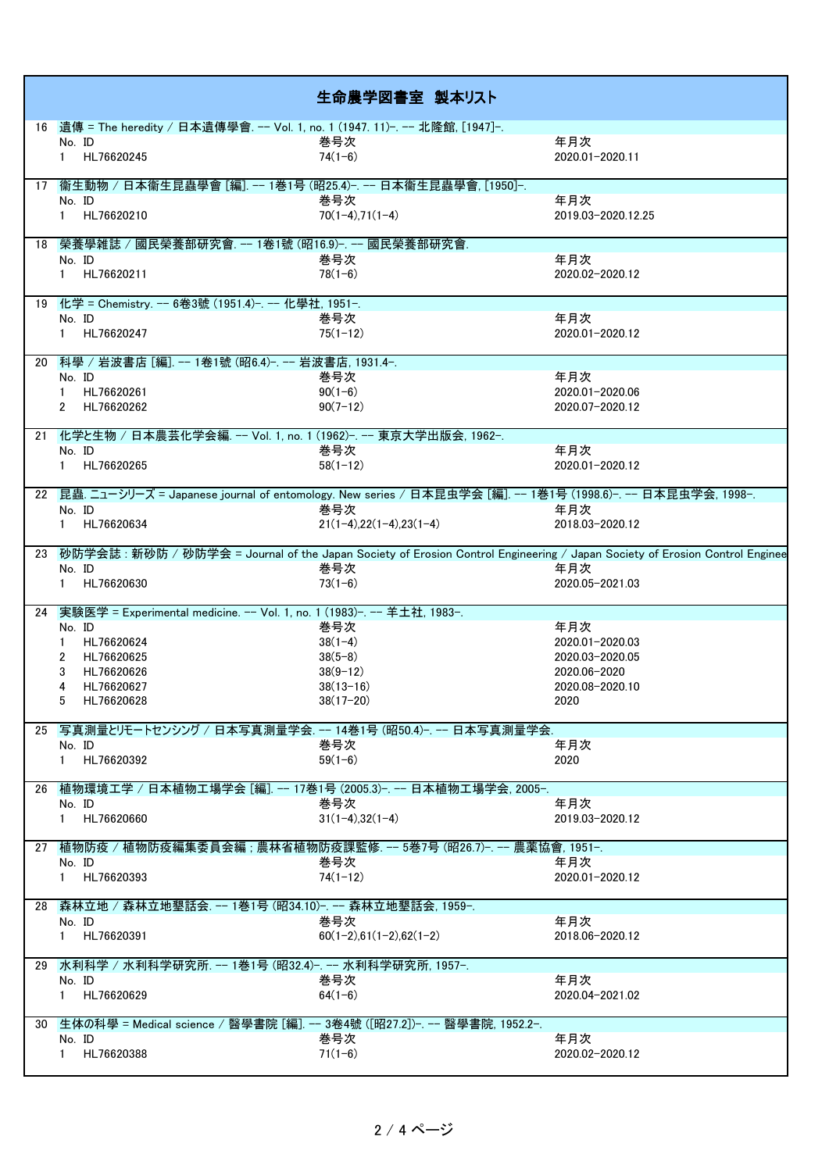| 生命農学図書室 製本リスト                                                                                                                 |
|-------------------------------------------------------------------------------------------------------------------------------|
| 16 遺傳 = The heredity / 日本遺傳學會. -- Vol. 1, no. 1 (1947. 11)-. -- 北隆館, [1947]-.                                                 |
| 年月次<br>No. ID<br>巻号次                                                                                                          |
| HL76620245<br>$74(1-6)$<br>2020.01-2020.11<br>$\mathbf{1}$                                                                    |
| 17 衞生動物 / 日本衞生昆蟲學會 [編]. -- 1巻1号 (昭25.4)-. -- 日本衞生昆蟲學會, [1950]-.<br>巻号次<br>年月次<br>No. ID                                       |
| HL76620210<br>$70(1-4), 71(1-4)$<br>2019.03-2020.12.25                                                                        |
| 18 榮養學雑誌 / 國民榮養部研究會. -- 1卷1號 (昭16.9)-. -- 國民榮養部研究會.                                                                           |
| 年月次<br>巻号次<br>No. ID                                                                                                          |
| 1 HL76620211<br>$78(1-6)$<br>2020.02-2020.12                                                                                  |
| 19 化学 = Chemistry. -- 6卷3號 (1951.4)-. -- 化學社, 1951-.                                                                          |
| 年月次<br>巻号次<br>No. ID                                                                                                          |
| 1 HL76620247<br>$75(1-12)$<br>2020.01-2020.12                                                                                 |
| 20 科學 / 岩波書店 [編]. -- 1卷1號 (昭6.4)-. -- 岩波書店, 1931.4-.<br>巻号次<br>年月次<br>No. ID                                                  |
| HL76620261<br>$90(1-6)$<br>2020.01-2020.06                                                                                    |
| 2 HL76620262<br>$90(7-12)$<br>2020.07-2020.12                                                                                 |
| 21 化学と生物 / 日本農芸化学会編. -- Vol. 1, no. 1 (1962)-. -- 東京大学出版会, 1962-.                                                             |
| 年月次<br>巻号次<br>No. ID                                                                                                          |
| 1 HL76620265<br>$58(1-12)$<br>2020.01-2020.12                                                                                 |
| 22 昆蟲. ニューシリーズ = Japanese journal of entomology. New series / 日本昆虫学会 [編]. -- 1巻1号 (1998.6)-. -- 日本昆虫学会, 1998-.                |
| 年月次<br>No. ID<br>巻号次                                                                                                          |
| HL76620634<br>$21(1-4),22(1-4),23(1-4)$<br>2018.03-2020.12                                                                    |
| 23 砂防学会誌: 新砂防 / 砂防学会 = Journal of the Japan Society of Erosion Control Engineering / Japan Society of Erosion Control Enginee |
| 巻号次<br>年月次<br>No. ID<br>HL76620630<br>$73(1-6)$<br>2020.05-2021.03                                                            |
|                                                                                                                               |
| 24 実験医学 = Experimental medicine. -- Vol. 1, no. 1 (1983)-. -- 羊土社, 1983-.                                                     |
| 年月次<br>No. ID<br>巻号次                                                                                                          |
| HL76620624<br>$38(1-4)$<br>2020.01-2020.03                                                                                    |
| HL76620625<br>$38(5-8)$<br>2020.03-2020.05                                                                                    |
| HL76620626<br>$38(9 - 12)$<br>2020.06-2020                                                                                    |
| HL76620627<br>$38(13 - 16)$<br>2020.08-2020.10<br>4                                                                           |
| 5 HL76620628<br>$38(17 - 20)$<br>2020                                                                                         |
| 25 写真測量とリモートセンシング / 日本写真測量学会. -- 14巻1号 (昭50.4)-. -- 日本写真測量学会.<br>年月次<br>巻号次                                                   |
| No. ID<br>$59(1-6)$<br>1 HL76620392<br>2020                                                                                   |
|                                                                                                                               |
| 26 植物環境工学 / 日本植物工場学会 [編]. -- 17巻1号 (2005.3)-. -- 日本植物工場学会, 2005-.<br>年月次                                                      |
| 巻号次<br>No. ID<br>1 HL76620660<br>$31(1-4), 32(1-4)$<br>2019.03-2020.12                                                        |
| 27 植物防疫 / 植物防疫編集委員会編 ; 農林省植物防疫課監修. -- 5巻7号 (昭26.7)-. -- 農薬協會, 1951-.                                                          |
| 巻号次<br>年月次<br>No. ID                                                                                                          |
| $74(1-12)$<br>1 HL76620393<br>2020.01-2020.12                                                                                 |
|                                                                                                                               |
| 28 森林立地 / 森林立地墾話会. -- 1巻1号 (昭34.10)-. -- 森林立地墾話会, 1959-.                                                                      |
| 年月次<br>巻号次<br>No. ID                                                                                                          |
| 1 HL76620391<br>$60(1-2), 61(1-2), 62(1-2)$<br>2018.06-2020.12                                                                |
| 29 水利科学 / 水利科学研究所. -- 1巻1号 (昭32.4)-. -- 水利科学研究所, 1957-.                                                                       |
| 年月次<br>巻号次<br>No. ID<br>1 HL76620629<br>$64(1-6)$<br>2020.04-2021.02                                                          |
| 30 生体の科學 = Medical science / 醫學書院 [編]. -- 3卷4號 ([昭27.2])-. -- 醫學書院, 1952.2-.                                                  |
| 年月次<br>巻号次<br>No. ID<br>1 HL76620388<br>$71(1-6)$                                                                             |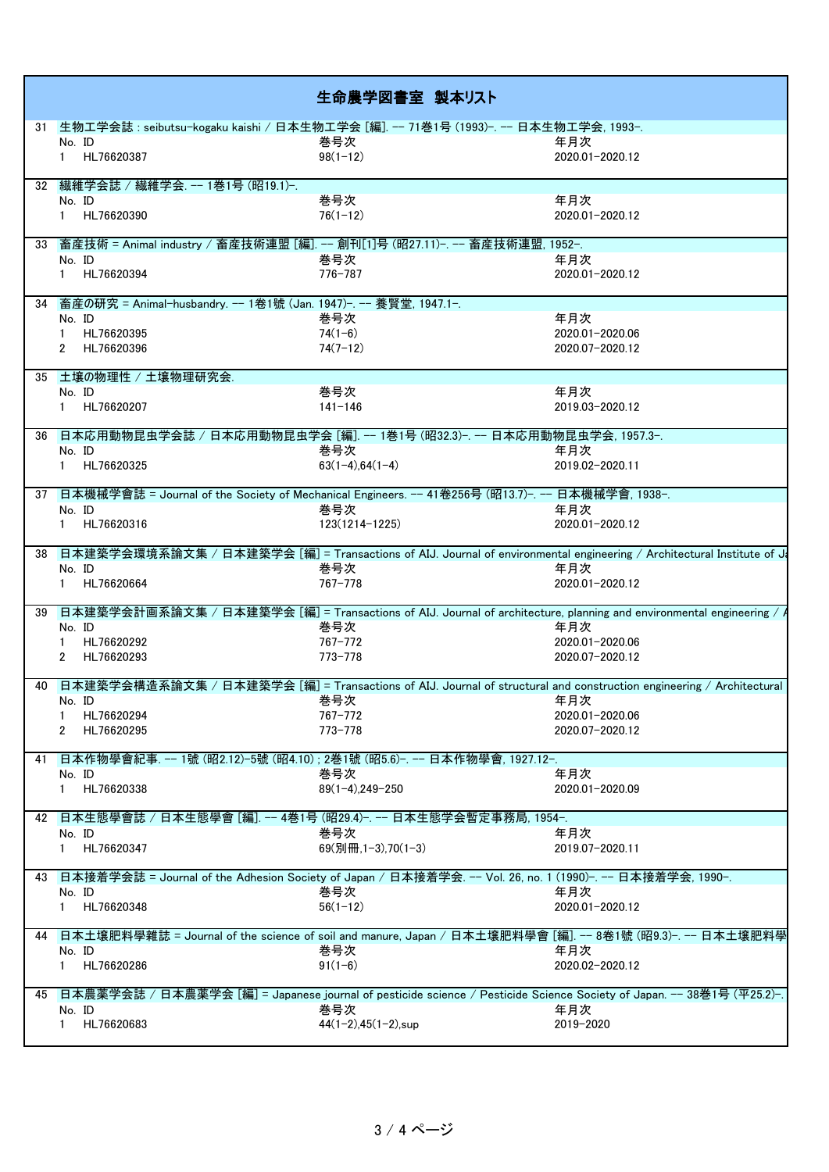|    |                                                                                                     | 生命農学図書室 製本リスト                  |                                                                                                                          |
|----|-----------------------------------------------------------------------------------------------------|--------------------------------|--------------------------------------------------------------------------------------------------------------------------|
|    | 31 生物工学会誌: seibutsu-kogaku kaishi / 日本生物工学会 [編]. -- 71巻1号 (1993)-. -- 日本生物工学会, 1993-.               |                                |                                                                                                                          |
|    | No. ID                                                                                              | 巻号次                            | 年月次                                                                                                                      |
|    | 1 HL76620387                                                                                        | $98(1 - 12)$                   | 2020.01-2020.12                                                                                                          |
|    | 32 繊維学会誌 / 繊維学会. -- 1巻1号 (昭19.1)-.                                                                  |                                |                                                                                                                          |
|    | No. ID                                                                                              | 巻号次                            | 年月次                                                                                                                      |
|    | 1 HL76620390                                                                                        | $76(1-12)$                     | 2020.01-2020.12                                                                                                          |
|    | 33 畜産技術 = Animal industry / 畜産技術連盟 [編]. -- 創刊[1]号 (昭27.11)-. -- 畜産技術連盟, 1952-.                      |                                |                                                                                                                          |
|    | No. ID                                                                                              | 巻号次                            | 年月次                                                                                                                      |
|    | 1 HL76620394                                                                                        | 776-787                        | 2020.01-2020.12                                                                                                          |
|    | 34 畜産の研究 = Animal-husbandry. -- 1卷1號 (Jan. 1947)-. -- 養賢堂, 1947.1-.                                 |                                |                                                                                                                          |
|    | No. ID                                                                                              | 巻号次                            | 年月次                                                                                                                      |
|    | 1 HL76620395                                                                                        | $74(1-6)$                      | 2020.01-2020.06                                                                                                          |
|    | 2 HL76620396                                                                                        | $74(7-12)$                     | 2020.07-2020.12                                                                                                          |
|    |                                                                                                     |                                |                                                                                                                          |
|    | 35 土壌の物理性 / 土壌物理研究会.                                                                                |                                |                                                                                                                          |
|    | No. ID<br>1 HL76620207                                                                              | 巻号次<br>$141 - 146$             | 年月次<br>2019.03-2020.12                                                                                                   |
|    |                                                                                                     |                                |                                                                                                                          |
|    | 36 日本応用動物昆虫学会誌 / 日本応用動物昆虫学会 [編]. -- 1巻1号 (昭32.3)-. -- 日本応用動物昆虫学会, 1957.3-.                          |                                |                                                                                                                          |
|    | No. ID                                                                                              | 巻号次                            | 年月次                                                                                                                      |
|    | 1 HL76620325                                                                                        | $63(1-4), 64(1-4)$             | 2019.02-2020.11                                                                                                          |
|    | 37 日本機械学會誌 = Journal of the Society of Mechanical Engineers. -- 41卷256号 (昭13.7)-. -- 日本機械学會, 1938-. |                                |                                                                                                                          |
|    | No. ID                                                                                              | 巻号次                            | 年月次                                                                                                                      |
|    | 1 HL76620316                                                                                        | 123(1214-1225)                 | 2020.01-2020.12                                                                                                          |
|    |                                                                                                     |                                | 38 日本建築学会環境系論文集 / 日本建築学会 [編] = Transactions of AIJ. Journal of environmental engineering / Architectural Institute of Ja |
|    | No. ID                                                                                              | 巻号次                            | 年月次                                                                                                                      |
|    | 1 HL76620664                                                                                        | 767-778                        | 2020.01-2020.12                                                                                                          |
|    |                                                                                                     |                                | 39 日本建築学会計画系論文集 / 日本建築学会 [編] = Transactions of AIJ. Journal of architecture, planning and environmental engineering /    |
|    | No. ID                                                                                              | 巻号次                            | 年月次                                                                                                                      |
|    | 1 HL76620292                                                                                        | 767-772                        | 2020.01-2020.06                                                                                                          |
|    | 2 HL76620293                                                                                        | 773-778                        | 2020.07-2020.12                                                                                                          |
|    |                                                                                                     |                                |                                                                                                                          |
|    |                                                                                                     |                                | 40 日本建築学会構造系論文集 / 日本建築学会 [編] = Transactions of AIJ. Journal of structural and construction engineering / Architectural   |
|    | No. ID                                                                                              | 巻号次                            | 年月次                                                                                                                      |
|    | 1 HL76620294                                                                                        | 767-772                        | 2020.01-2020.06                                                                                                          |
|    | 2 HL76620295                                                                                        | 773-778                        | 2020.07-2020.12                                                                                                          |
|    | 41 日本作物學會紀事. -- 1號 (昭2.12)-5號 (昭4.10) ; 2巻1號 (昭5.6)-. -- 日本作物學會, 1927.12-.                          |                                |                                                                                                                          |
|    | No. ID                                                                                              | 巻号次                            | 年月次                                                                                                                      |
|    | 1 HL76620338                                                                                        | $89(1-4)$ , 249-250            | 2020.01-2020.09                                                                                                          |
|    | 42 日本生態學會誌 / 日本生態學會 [編]. -- 4巻1号 (昭29.4)-. -- 日本生態学会暫定事務局, 1954-.                                   |                                |                                                                                                                          |
|    | No. ID                                                                                              | 巻号次                            | 年月次                                                                                                                      |
|    | 1 HL76620347                                                                                        | 69(別冊,1-3),70(1-3)             | 2019.07-2020.11                                                                                                          |
|    |                                                                                                     |                                | 43 日本接着学会誌 = Journal of the Adhesion Society of Japan / 日本接着学会. -- Vol. 26, no. 1 (1990)-. -- 日本接着学会, 1990-.             |
|    | No. ID                                                                                              | 巻号次                            | 年月次                                                                                                                      |
|    | 1 HL76620348                                                                                        | $56(1-12)$                     | 2020.01-2020.12                                                                                                          |
| 44 |                                                                                                     |                                | 日本土壤肥料學雜誌 = Journal of the science of soil and manure, Japan / 日本土壤肥料學會 [編]. -- 8卷1號 (昭9.3)-. -- 日本土壤肥料學                 |
|    | No. ID                                                                                              | 巻号次                            | 年月次                                                                                                                      |
|    | 1 HL76620286                                                                                        | $91(1-6)$                      | 2020.02-2020.12                                                                                                          |
|    |                                                                                                     |                                | 45 日本農薬学会誌 / 日本農薬学会 [編] = Japanese journal of pesticide science / Pesticide Science Society of Japan. -- 38巻1号 (平25.2)-  |
|    | No. ID                                                                                              | 巻号次                            | 年月次                                                                                                                      |
|    | 1 HL76620683                                                                                        | $44(1-2), 45(1-2), \text{sup}$ | 2019-2020                                                                                                                |
|    |                                                                                                     |                                |                                                                                                                          |